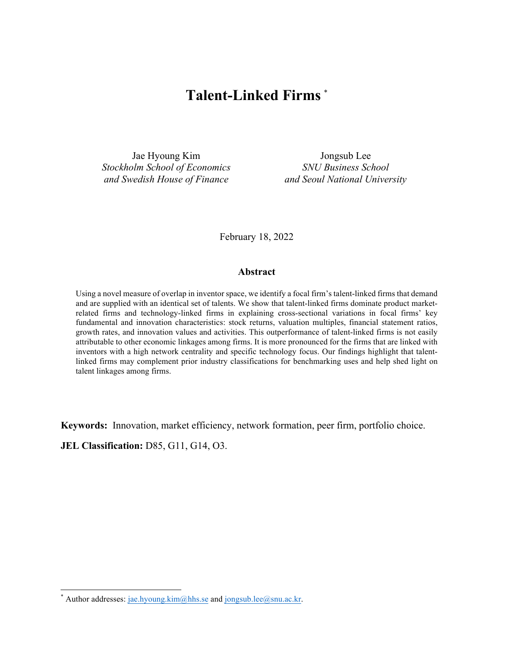# **Talent-Linked Firms** \*

Jae Hyoung Kim Jongsub Lee *Stockholm School of Economics SNU Business School and Swedish House of Finance and Seoul National University*

February 18, 2022

#### **Abstract**

Using a novel measure of overlap in inventor space, we identify a focal firm's talent-linked firms that demand and are supplied with an identical set of talents. We show that talent-linked firms dominate product marketrelated firms and technology-linked firms in explaining cross-sectional variations in focal firms' key fundamental and innovation characteristics: stock returns, valuation multiples, financial statement ratios, growth rates, and innovation values and activities. This outperformance of talent-linked firms is not easily attributable to other economic linkages among firms. It is more pronounced for the firms that are linked with inventors with a high network centrality and specific technology focus. Our findings highlight that talentlinked firms may complement prior industry classifications for benchmarking uses and help shed light on talent linkages among firms.

**Keywords:** Innovation, market efficiency, network formation, peer firm, portfolio choice.

**JEL Classification:** D85, G11, G14, O3.

Author addresses: jae.hyoung.kim@hhs.se and jongsub.lee@snu.ac.kr.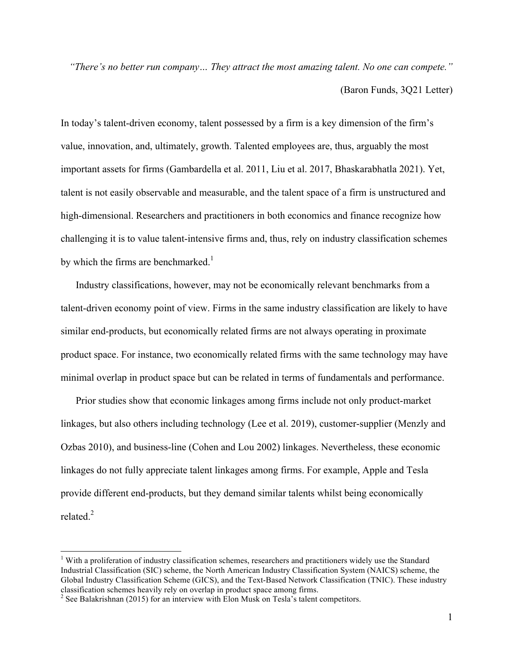*"There's no better run company… They attract the most amazing talent. No one can compete."* (Baron Funds, 3Q21 Letter)

In today's talent-driven economy, talent possessed by a firm is a key dimension of the firm's value, innovation, and, ultimately, growth. Talented employees are, thus, arguably the most important assets for firms (Gambardella et al. 2011, Liu et al. 2017, Bhaskarabhatla 2021). Yet, talent is not easily observable and measurable, and the talent space of a firm is unstructured and high-dimensional. Researchers and practitioners in both economics and finance recognize how challenging it is to value talent-intensive firms and, thus, rely on industry classification schemes by which the firms are benchmarked.<sup>1</sup>

Industry classifications, however, may not be economically relevant benchmarks from a talent-driven economy point of view. Firms in the same industry classification are likely to have similar end-products, but economically related firms are not always operating in proximate product space. For instance, two economically related firms with the same technology may have minimal overlap in product space but can be related in terms of fundamentals and performance.

Prior studies show that economic linkages among firms include not only product-market linkages, but also others including technology (Lee et al. 2019), customer-supplier (Menzly and Ozbas 2010), and business-line (Cohen and Lou 2002) linkages. Nevertheless, these economic linkages do not fully appreciate talent linkages among firms. For example, Apple and Tesla provide different end-products, but they demand similar talents whilst being economically related.<sup>2</sup>

<sup>&</sup>lt;sup>1</sup> With a proliferation of industry classification schemes, researchers and practitioners widely use the Standard Industrial Classification (SIC) scheme, the North American Industry Classification System (NAICS) scheme, the Global Industry Classification Scheme (GICS), and the Text-Based Network Classification (TNIC). These industry classification schemes heavily rely on overlap in product space among firms.

 $2$  See Balakrishnan (2015) for an interview with Elon Musk on Tesla's talent competitors.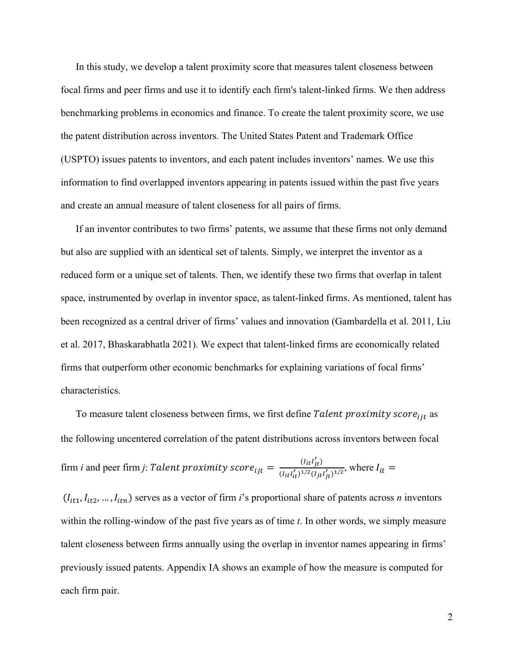In this study, we develop a talent proximity score that measures talent closeness between focal firms and peer firms and use it to identify each firm's talent-linked firms. We then address benchmarking problems in economics and finance. To create the talent proximity score, we use the patent distribution across inventors. The United States Patent and Trademark Office (USPTO) issues patents to inventors, and each patent includes inventors' names. We use this information to find overlapped inventors appearing in patents issued within the past five years and create an annual measure of talent closeness for all pairs of firms.

If an inventor contributes to two firms' patents, we assume that these firms not only demand but also are supplied with an identical set of talents. Simply, we interpret the inventor as a reduced form or a unique set of talents. Then, we identify these two firms that overlap in talent space, instrumented by overlap in inventor space, as talent-linked firms. As mentioned, talent has been recognized as a central driver of firms' values and innovation (Gambardella et al. 2011, Liu et al. 2017, Bhaskarabhatla 2021). We expect that talent-linked firms are economically related firms that outperform other economic benchmarks for explaining variations of focal firms' characteristics.

To measure talent closeness between firms, we first define Talent proximity score<sub>iit</sub> as the following uncentered correlation of the patent distributions across inventors between focal firm *i* and peer firm *j*: *Talent proximity score*<sub>ijt</sub> =  $\frac{(I_{it}I'_{jt})}{(I_{it}I')^{1/2}(I_{it})}$  $\frac{(t_{it})_{it}}{(I_{it}I'_{it})^{1/2}(I_{jt}I'_{jt})^{1/2}}$ , where  $I_{it}$  =

 $(I_{it1}, I_{it2}, ..., I_{itn})$  serves as a vector of firm *i*'s proportional share of patents across *n* inventors within the rolling-window of the past five years as of time *t*. In other words, we simply measure talent closeness between firms annually using the overlap in inventor names appearing in firms' previously issued patents. Appendix IA shows an example of how the measure is computed for each firm pair.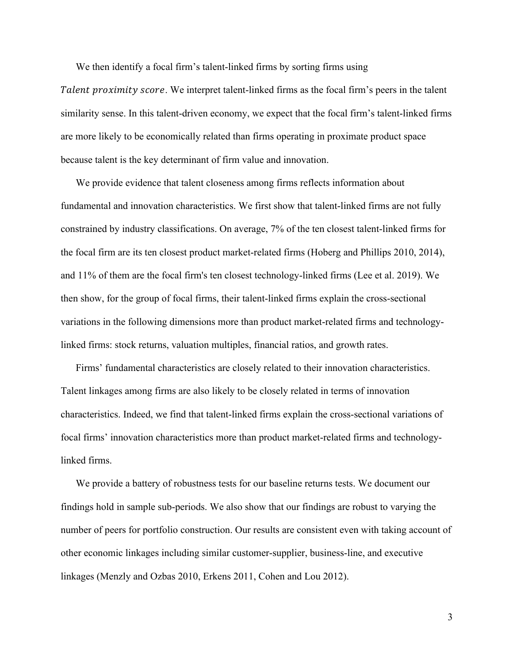We then identify a focal firm's talent-linked firms by sorting firms using

Talent proximity score. We interpret talent-linked firms as the focal firm's peers in the talent similarity sense. In this talent-driven economy, we expect that the focal firm's talent-linked firms are more likely to be economically related than firms operating in proximate product space because talent is the key determinant of firm value and innovation.

We provide evidence that talent closeness among firms reflects information about fundamental and innovation characteristics. We first show that talent-linked firms are not fully constrained by industry classifications. On average, 7% of the ten closest talent-linked firms for the focal firm are its ten closest product market-related firms (Hoberg and Phillips 2010, 2014), and 11% of them are the focal firm's ten closest technology-linked firms (Lee et al. 2019). We then show, for the group of focal firms, their talent-linked firms explain the cross-sectional variations in the following dimensions more than product market-related firms and technologylinked firms: stock returns, valuation multiples, financial ratios, and growth rates.

Firms' fundamental characteristics are closely related to their innovation characteristics. Talent linkages among firms are also likely to be closely related in terms of innovation characteristics. Indeed, we find that talent-linked firms explain the cross-sectional variations of focal firms' innovation characteristics more than product market-related firms and technologylinked firms.

We provide a battery of robustness tests for our baseline returns tests. We document our findings hold in sample sub-periods. We also show that our findings are robust to varying the number of peers for portfolio construction. Our results are consistent even with taking account of other economic linkages including similar customer-supplier, business-line, and executive linkages (Menzly and Ozbas 2010, Erkens 2011, Cohen and Lou 2012).

3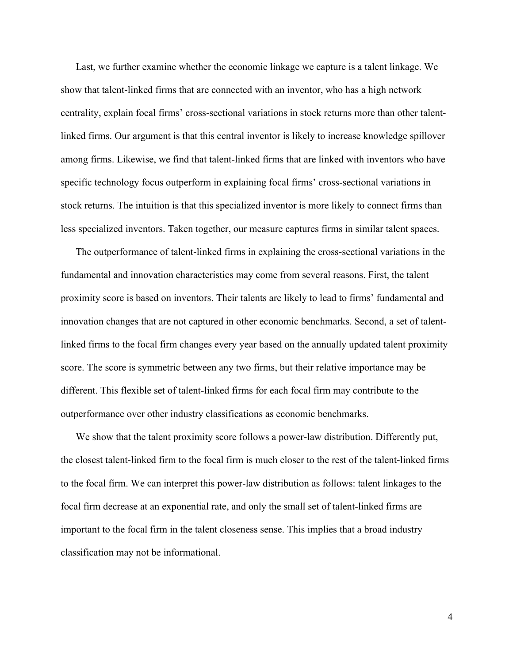Last, we further examine whether the economic linkage we capture is a talent linkage. We show that talent-linked firms that are connected with an inventor, who has a high network centrality, explain focal firms' cross-sectional variations in stock returns more than other talentlinked firms. Our argument is that this central inventor is likely to increase knowledge spillover among firms. Likewise, we find that talent-linked firms that are linked with inventors who have specific technology focus outperform in explaining focal firms' cross-sectional variations in stock returns. The intuition is that this specialized inventor is more likely to connect firms than less specialized inventors. Taken together, our measure captures firms in similar talent spaces.

The outperformance of talent-linked firms in explaining the cross-sectional variations in the fundamental and innovation characteristics may come from several reasons. First, the talent proximity score is based on inventors. Their talents are likely to lead to firms' fundamental and innovation changes that are not captured in other economic benchmarks. Second, a set of talentlinked firms to the focal firm changes every year based on the annually updated talent proximity score. The score is symmetric between any two firms, but their relative importance may be different. This flexible set of talent-linked firms for each focal firm may contribute to the outperformance over other industry classifications as economic benchmarks.

We show that the talent proximity score follows a power-law distribution. Differently put, the closest talent-linked firm to the focal firm is much closer to the rest of the talent-linked firms to the focal firm. We can interpret this power-law distribution as follows: talent linkages to the focal firm decrease at an exponential rate, and only the small set of talent-linked firms are important to the focal firm in the talent closeness sense. This implies that a broad industry classification may not be informational.

4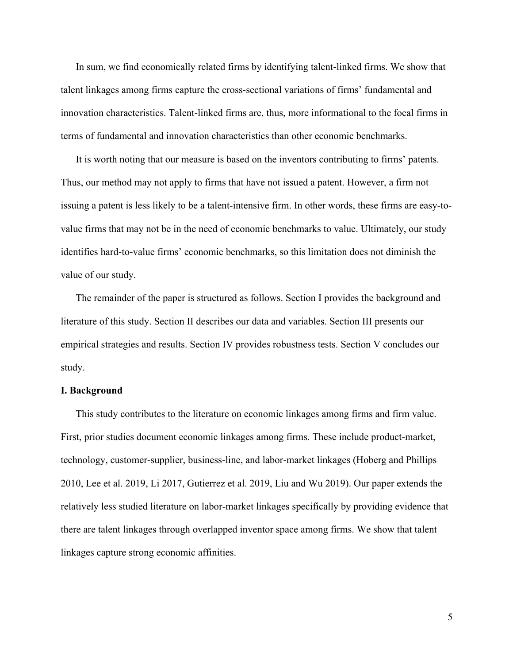In sum, we find economically related firms by identifying talent-linked firms. We show that talent linkages among firms capture the cross-sectional variations of firms' fundamental and innovation characteristics. Talent-linked firms are, thus, more informational to the focal firms in terms of fundamental and innovation characteristics than other economic benchmarks.

It is worth noting that our measure is based on the inventors contributing to firms' patents. Thus, our method may not apply to firms that have not issued a patent. However, a firm not issuing a patent is less likely to be a talent-intensive firm. In other words, these firms are easy-tovalue firms that may not be in the need of economic benchmarks to value. Ultimately, our study identifies hard-to-value firms' economic benchmarks, so this limitation does not diminish the value of our study.

The remainder of the paper is structured as follows. Section I provides the background and literature of this study. Section II describes our data and variables. Section III presents our empirical strategies and results. Section IV provides robustness tests. Section V concludes our study.

#### **I. Background**

This study contributes to the literature on economic linkages among firms and firm value. First, prior studies document economic linkages among firms. These include product-market, technology, customer-supplier, business-line, and labor-market linkages (Hoberg and Phillips 2010, Lee et al. 2019, Li 2017, Gutierrez et al. 2019, Liu and Wu 2019). Our paper extends the relatively less studied literature on labor-market linkages specifically by providing evidence that there are talent linkages through overlapped inventor space among firms. We show that talent linkages capture strong economic affinities.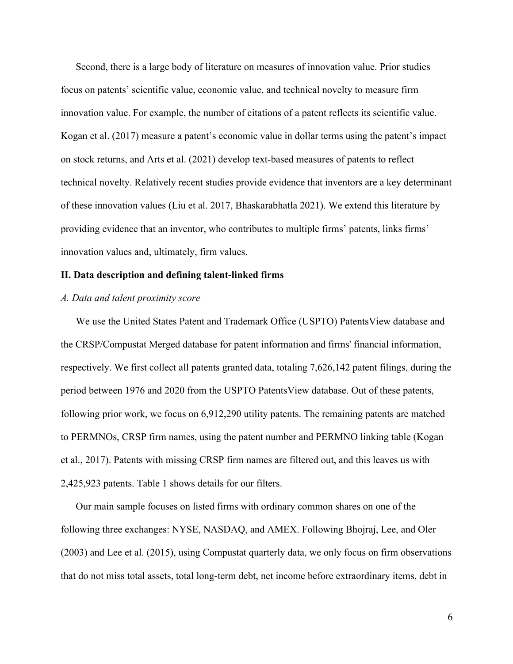Second, there is a large body of literature on measures of innovation value. Prior studies focus on patents' scientific value, economic value, and technical novelty to measure firm innovation value. For example, the number of citations of a patent reflects its scientific value. Kogan et al. (2017) measure a patent's economic value in dollar terms using the patent's impact on stock returns, and Arts et al. (2021) develop text-based measures of patents to reflect technical novelty. Relatively recent studies provide evidence that inventors are a key determinant of these innovation values (Liu et al. 2017, Bhaskarabhatla 2021). We extend this literature by providing evidence that an inventor, who contributes to multiple firms' patents, links firms' innovation values and, ultimately, firm values.

## **II. Data description and defining talent-linked firms**

#### *A. Data and talent proximity score*

We use the United States Patent and Trademark Office (USPTO) PatentsView database and the CRSP/Compustat Merged database for patent information and firms' financial information, respectively. We first collect all patents granted data, totaling 7,626,142 patent filings, during the period between 1976 and 2020 from the USPTO PatentsView database. Out of these patents, following prior work, we focus on 6,912,290 utility patents. The remaining patents are matched to PERMNOs, CRSP firm names, using the patent number and PERMNO linking table (Kogan et al., 2017). Patents with missing CRSP firm names are filtered out, and this leaves us with 2,425,923 patents. Table 1 shows details for our filters.

Our main sample focuses on listed firms with ordinary common shares on one of the following three exchanges: NYSE, NASDAQ, and AMEX. Following Bhojraj, Lee, and Oler (2003) and Lee et al. (2015), using Compustat quarterly data, we only focus on firm observations that do not miss total assets, total long-term debt, net income before extraordinary items, debt in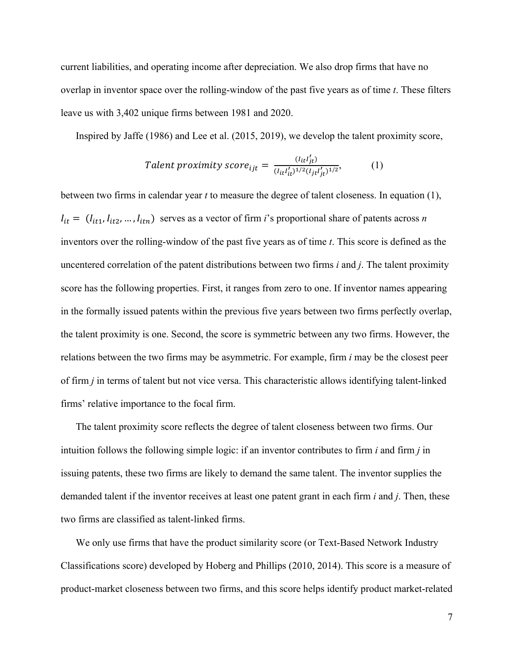current liabilities, and operating income after depreciation. We also drop firms that have no overlap in inventor space over the rolling-window of the past five years as of time *t*. These filters leave us with 3,402 unique firms between 1981 and 2020.

Inspired by Jaffe (1986) and Lee et al. (2015, 2019), we develop the talent proximity score,

$$
Talent\ proximity\ score_{ijt} = \frac{(l_{it}l'_{jt})}{(l_{it}l'_{it})^{1/2}(l_{jt}l'_{jt})^{1/2}},\tag{1}
$$

between two firms in calendar year *t* to measure the degree of talent closeness. In equation (1),  $I_{it} = (I_{it1}, I_{it2}, ..., I_{itn})$  serves as a vector of firm *i*'s proportional share of patents across *n* inventors over the rolling-window of the past five years as of time *t*. This score is defined as the uncentered correlation of the patent distributions between two firms *i* and *j*. The talent proximity score has the following properties. First, it ranges from zero to one. If inventor names appearing in the formally issued patents within the previous five years between two firms perfectly overlap, the talent proximity is one. Second, the score is symmetric between any two firms. However, the relations between the two firms may be asymmetric. For example, firm *i* may be the closest peer of firm *j* in terms of talent but not vice versa. This characteristic allows identifying talent-linked firms' relative importance to the focal firm.

The talent proximity score reflects the degree of talent closeness between two firms. Our intuition follows the following simple logic: if an inventor contributes to firm *i* and firm *j* in issuing patents, these two firms are likely to demand the same talent. The inventor supplies the demanded talent if the inventor receives at least one patent grant in each firm *i* and *j*. Then, these two firms are classified as talent-linked firms.

We only use firms that have the product similarity score (or Text-Based Network Industry Classifications score) developed by Hoberg and Phillips (2010, 2014). This score is a measure of product-market closeness between two firms, and this score helps identify product market-related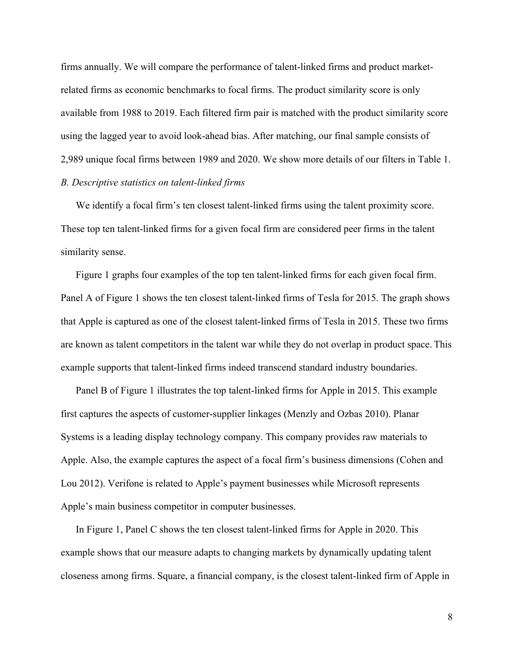firms annually. We will compare the performance of talent-linked firms and product marketrelated firms as economic benchmarks to focal firms. The product similarity score is only available from 1988 to 2019. Each filtered firm pair is matched with the product similarity score using the lagged year to avoid look-ahead bias. After matching, our final sample consists of 2,989 unique focal firms between 1989 and 2020. We show more details of our filters in Table 1. *B. Descriptive statistics on talent-linked firms*

We identify a focal firm's ten closest talent-linked firms using the talent proximity score. These top ten talent-linked firms for a given focal firm are considered peer firms in the talent similarity sense.

Figure 1 graphs four examples of the top ten talent-linked firms for each given focal firm. Panel A of Figure 1 shows the ten closest talent-linked firms of Tesla for 2015. The graph shows that Apple is captured as one of the closest talent-linked firms of Tesla in 2015. These two firms are known as talent competitors in the talent war while they do not overlap in product space. This example supports that talent-linked firms indeed transcend standard industry boundaries.

Panel B of Figure 1 illustrates the top talent-linked firms for Apple in 2015. This example first captures the aspects of customer-supplier linkages (Menzly and Ozbas 2010). Planar Systems is a leading display technology company. This company provides raw materials to Apple. Also, the example captures the aspect of a focal firm's business dimensions (Cohen and Lou 2012). Verifone is related to Apple's payment businesses while Microsoft represents Apple's main business competitor in computer businesses.

In Figure 1, Panel C shows the ten closest talent-linked firms for Apple in 2020. This example shows that our measure adapts to changing markets by dynamically updating talent closeness among firms. Square, a financial company, is the closest talent-linked firm of Apple in

8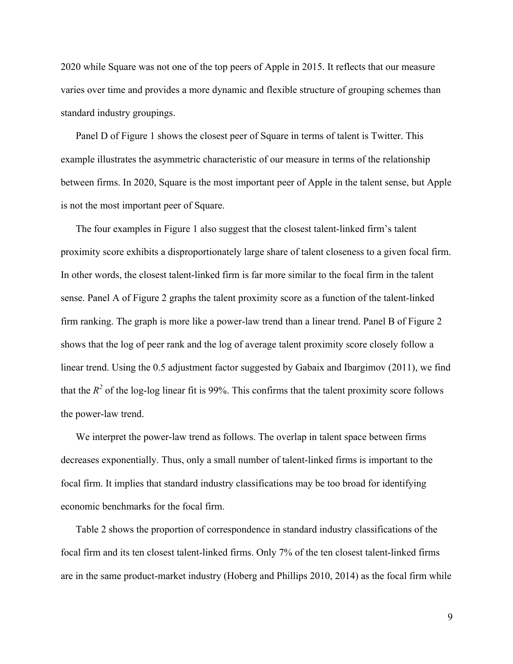2020 while Square was not one of the top peers of Apple in 2015. It reflects that our measure varies over time and provides a more dynamic and flexible structure of grouping schemes than standard industry groupings.

Panel D of Figure 1 shows the closest peer of Square in terms of talent is Twitter. This example illustrates the asymmetric characteristic of our measure in terms of the relationship between firms. In 2020, Square is the most important peer of Apple in the talent sense, but Apple is not the most important peer of Square.

The four examples in Figure 1 also suggest that the closest talent-linked firm's talent proximity score exhibits a disproportionately large share of talent closeness to a given focal firm. In other words, the closest talent-linked firm is far more similar to the focal firm in the talent sense. Panel A of Figure 2 graphs the talent proximity score as a function of the talent-linked firm ranking. The graph is more like a power-law trend than a linear trend. Panel B of Figure 2 shows that the log of peer rank and the log of average talent proximity score closely follow a linear trend. Using the 0.5 adjustment factor suggested by Gabaix and Ibargimov (2011), we find that the  $R^2$  of the log-log linear fit is 99%. This confirms that the talent proximity score follows the power-law trend.

We interpret the power-law trend as follows. The overlap in talent space between firms decreases exponentially. Thus, only a small number of talent-linked firms is important to the focal firm. It implies that standard industry classifications may be too broad for identifying economic benchmarks for the focal firm.

Table 2 shows the proportion of correspondence in standard industry classifications of the focal firm and its ten closest talent-linked firms. Only 7% of the ten closest talent-linked firms are in the same product-market industry (Hoberg and Phillips 2010, 2014) as the focal firm while

9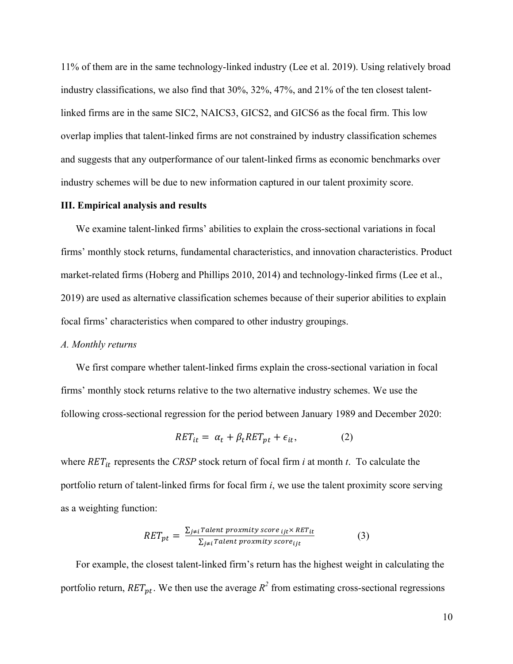11% of them are in the same technology-linked industry (Lee et al. 2019). Using relatively broad industry classifications, we also find that 30%, 32%, 47%, and 21% of the ten closest talentlinked firms are in the same SIC2, NAICS3, GICS2, and GICS6 as the focal firm. This low overlap implies that talent-linked firms are not constrained by industry classification schemes and suggests that any outperformance of our talent-linked firms as economic benchmarks over industry schemes will be due to new information captured in our talent proximity score.

#### **III. Empirical analysis and results**

We examine talent-linked firms' abilities to explain the cross-sectional variations in focal firms' monthly stock returns, fundamental characteristics, and innovation characteristics. Product market-related firms (Hoberg and Phillips 2010, 2014) and technology-linked firms (Lee et al., 2019) are used as alternative classification schemes because of their superior abilities to explain focal firms' characteristics when compared to other industry groupings.

#### *A. Monthly returns*

We first compare whether talent-linked firms explain the cross-sectional variation in focal firms' monthly stock returns relative to the two alternative industry schemes. We use the following cross-sectional regression for the period between January 1989 and December 2020:

$$
RET_{it} = \alpha_t + \beta_t RET_{pt} + \epsilon_{it}, \qquad (2)
$$

where  $RET_{it}$  represents the *CRSP* stock return of focal firm *i* at month *t*. To calculate the portfolio return of talent-linked firms for focal firm *i*, we use the talent proximity score serving as a weighting function:

$$
RET_{pt} = \frac{\sum_{j \neq i} Talent\,proximity\,score_{ijt} \times RET_{it}}{\sum_{j \neq i} Talent\,proximity\,score_{ijt}}
$$
(3)

For example, the closest talent-linked firm's return has the highest weight in calculating the portfolio return,  $RET_{nt}$ . We then use the average  $R^2$  from estimating cross-sectional regressions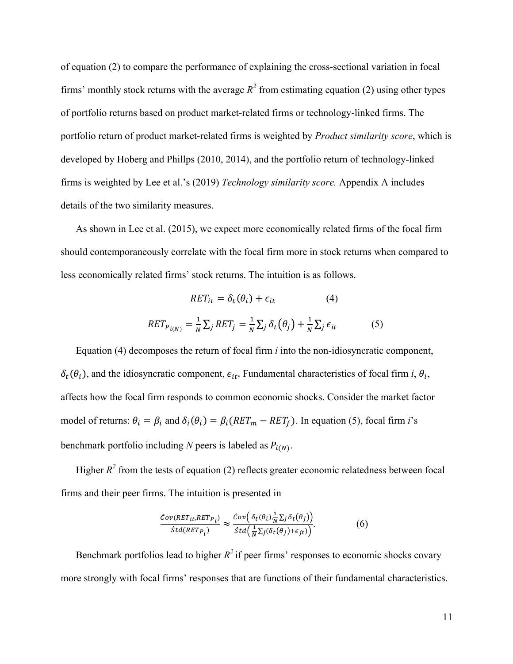of equation (2) to compare the performance of explaining the cross-sectional variation in focal firms' monthly stock returns with the average  $R^2$  from estimating equation (2) using other types of portfolio returns based on product market-related firms or technology-linked firms. The portfolio return of product market-related firms is weighted by *Product similarity score*, which is developed by Hoberg and Phillps (2010, 2014), and the portfolio return of technology-linked firms is weighted by Lee et al.'s (2019) *Technology similarity score.* Appendix A includes details of the two similarity measures.

As shown in Lee et al. (2015), we expect more economically related firms of the focal firm should contemporaneously correlate with the focal firm more in stock returns when compared to less economically related firms' stock returns. The intuition is as follows.

$$
RET_{it} = \delta_t(\theta_i) + \epsilon_{it}
$$
 (4)  

$$
RET_{P_{i(N)}} = \frac{1}{N} \sum_j RET_j = \frac{1}{N} \sum_j \delta_t(\theta_j) + \frac{1}{N} \sum_j \epsilon_{it}
$$
 (5)

Equation (4) decomposes the return of focal firm *i* into the non-idiosyncratic component,  $\delta_t(\theta_i)$ , and the idiosyncratic component,  $\epsilon_{it}$ . Fundamental characteristics of focal firm *i*,  $\theta_i$ , affects how the focal firm responds to common economic shocks. Consider the market factor model of returns:  $\theta_i = \beta_i$  and  $\delta_i(\theta_i) = \beta_i(RET_m - RET_f)$ . In equation (5), focal firm *i*'s benchmark portfolio including *N* peers is labeled as  $P_{i(N)}$ .

Higher  $R^2$  from the tests of equation (2) reflects greater economic relatedness between focal firms and their peer firms. The intuition is presented in

$$
\frac{\hat{C}ov(RET_{it},RET_{P_i})}{\hat{S}td(RET_{P_i})} \approx \frac{\hat{C}ov\left(\delta_t(\theta_i), \frac{1}{N}\sum_j \delta_t(\theta_j)\right)}{\hat{S}td\left(\frac{1}{N}\sum_j(\delta_t(\theta_j)+\epsilon_{jt})\right)}.
$$
(6)

Benchmark portfolios lead to higher  $R^2$  if peer firms' responses to economic shocks covary more strongly with focal firms' responses that are functions of their fundamental characteristics.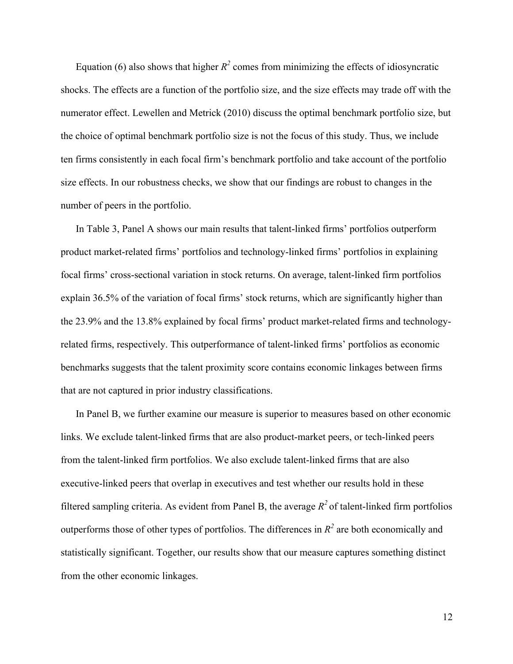Equation (6) also shows that higher  $R^2$  comes from minimizing the effects of idiosyncratic shocks. The effects are a function of the portfolio size, and the size effects may trade off with the numerator effect. Lewellen and Metrick (2010) discuss the optimal benchmark portfolio size, but the choice of optimal benchmark portfolio size is not the focus of this study. Thus, we include ten firms consistently in each focal firm's benchmark portfolio and take account of the portfolio size effects. In our robustness checks, we show that our findings are robust to changes in the number of peers in the portfolio.

In Table 3, Panel A shows our main results that talent-linked firms' portfolios outperform product market-related firms' portfolios and technology-linked firms' portfolios in explaining focal firms' cross-sectional variation in stock returns. On average, talent-linked firm portfolios explain 36.5% of the variation of focal firms' stock returns, which are significantly higher than the 23.9% and the 13.8% explained by focal firms' product market-related firms and technologyrelated firms, respectively. This outperformance of talent-linked firms' portfolios as economic benchmarks suggests that the talent proximity score contains economic linkages between firms that are not captured in prior industry classifications.

In Panel B, we further examine our measure is superior to measures based on other economic links. We exclude talent-linked firms that are also product-market peers, or tech-linked peers from the talent-linked firm portfolios. We also exclude talent-linked firms that are also executive-linked peers that overlap in executives and test whether our results hold in these filtered sampling criteria. As evident from Panel B, the average  $R^2$  of talent-linked firm portfolios outperforms those of other types of portfolios. The differences in  $R^2$  are both economically and statistically significant. Together, our results show that our measure captures something distinct from the other economic linkages.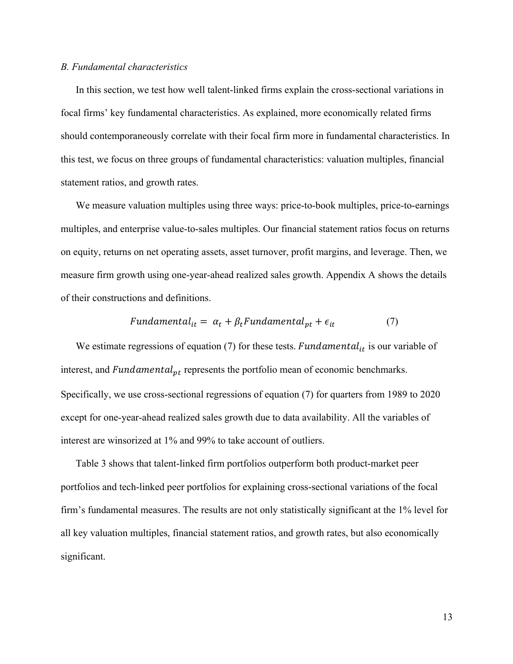#### *B. Fundamental characteristics*

In this section, we test how well talent-linked firms explain the cross-sectional variations in focal firms' key fundamental characteristics. As explained, more economically related firms should contemporaneously correlate with their focal firm more in fundamental characteristics. In this test, we focus on three groups of fundamental characteristics: valuation multiples, financial statement ratios, and growth rates.

We measure valuation multiples using three ways: price-to-book multiples, price-to-earnings multiples, and enterprise value-to-sales multiples. Our financial statement ratios focus on returns on equity, returns on net operating assets, asset turnover, profit margins, and leverage. Then, we measure firm growth using one-year-ahead realized sales growth. Appendix A shows the details of their constructions and definitions.

$$
Fundamental_{it} = \alpha_t + \beta_t Fundamental_{pt} + \epsilon_{it}
$$
 (7)

We estimate regressions of equation (7) for these tests. Fundamental<sub>it</sub> is our variable of interest, and  $Fundamental_{pt}$  represents the portfolio mean of economic benchmarks. Specifically, we use cross-sectional regressions of equation (7) for quarters from 1989 to 2020 except for one-year-ahead realized sales growth due to data availability. All the variables of interest are winsorized at 1% and 99% to take account of outliers.

Table 3 shows that talent-linked firm portfolios outperform both product-market peer portfolios and tech-linked peer portfolios for explaining cross-sectional variations of the focal firm's fundamental measures. The results are not only statistically significant at the 1% level for all key valuation multiples, financial statement ratios, and growth rates, but also economically significant.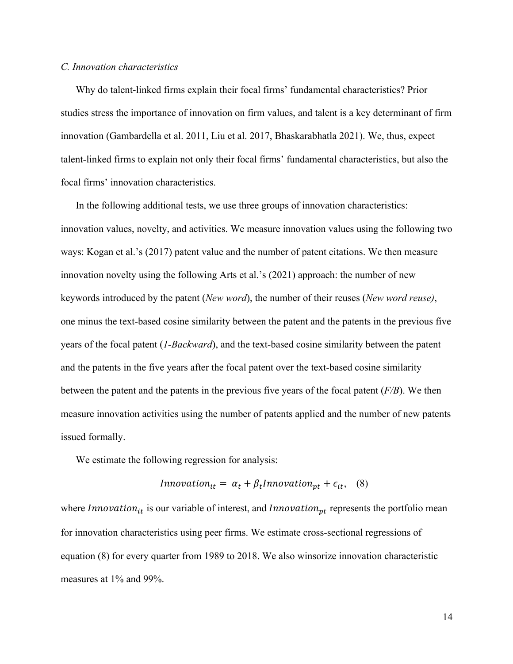#### *C. Innovation characteristics*

Why do talent-linked firms explain their focal firms' fundamental characteristics? Prior studies stress the importance of innovation on firm values, and talent is a key determinant of firm innovation (Gambardella et al. 2011, Liu et al. 2017, Bhaskarabhatla 2021). We, thus, expect talent-linked firms to explain not only their focal firms' fundamental characteristics, but also the focal firms' innovation characteristics.

In the following additional tests, we use three groups of innovation characteristics: innovation values, novelty, and activities. We measure innovation values using the following two ways: Kogan et al.'s (2017) patent value and the number of patent citations. We then measure innovation novelty using the following Arts et al.'s (2021) approach: the number of new keywords introduced by the patent (*New word*), the number of their reuses (*New word reuse)*, one minus the text-based cosine similarity between the patent and the patents in the previous five years of the focal patent (*1-Backward*), and the text-based cosine similarity between the patent and the patents in the five years after the focal patent over the text-based cosine similarity between the patent and the patents in the previous five years of the focal patent (*F/B*). We then measure innovation activities using the number of patents applied and the number of new patents issued formally.

We estimate the following regression for analysis:

$$
In novation_{it} = \alpha_t + \beta_t In novation_{pt} + \epsilon_{it}, \quad (8)
$$

where  $Innovation_{it}$  is our variable of interest, and  $Innovation_{pt}$  represents the portfolio mean for innovation characteristics using peer firms. We estimate cross-sectional regressions of equation (8) for every quarter from 1989 to 2018. We also winsorize innovation characteristic measures at 1% and 99%.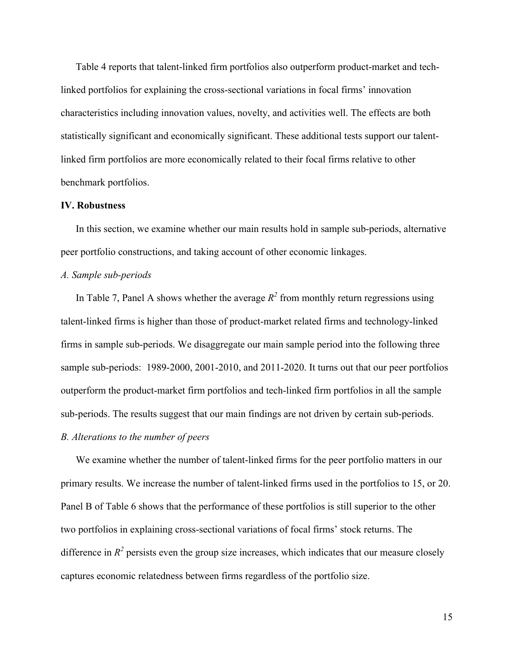Table 4 reports that talent-linked firm portfolios also outperform product-market and techlinked portfolios for explaining the cross-sectional variations in focal firms' innovation characteristics including innovation values, novelty, and activities well. The effects are both statistically significant and economically significant. These additional tests support our talentlinked firm portfolios are more economically related to their focal firms relative to other benchmark portfolios.

#### **IV. Robustness**

In this section, we examine whether our main results hold in sample sub-periods, alternative peer portfolio constructions, and taking account of other economic linkages.

## *A. Sample sub-periods*

In Table 7, Panel A shows whether the average  $R^2$  from monthly return regressions using talent-linked firms is higher than those of product-market related firms and technology-linked firms in sample sub-periods. We disaggregate our main sample period into the following three sample sub-periods: 1989-2000, 2001-2010, and 2011-2020. It turns out that our peer portfolios outperform the product-market firm portfolios and tech-linked firm portfolios in all the sample sub-periods. The results suggest that our main findings are not driven by certain sub-periods.

#### *B. Alterations to the number of peers*

We examine whether the number of talent-linked firms for the peer portfolio matters in our primary results. We increase the number of talent-linked firms used in the portfolios to 15, or 20. Panel B of Table 6 shows that the performance of these portfolios is still superior to the other two portfolios in explaining cross-sectional variations of focal firms' stock returns. The difference in  $R^2$  persists even the group size increases, which indicates that our measure closely captures economic relatedness between firms regardless of the portfolio size.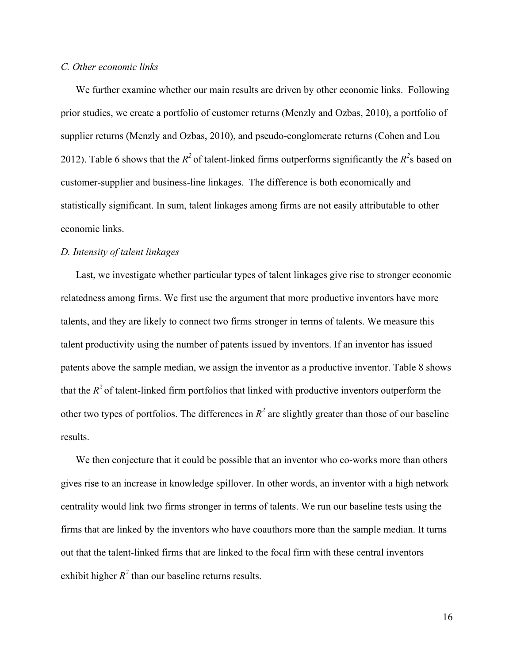#### *C. Other economic links*

We further examine whether our main results are driven by other economic links. Following prior studies, we create a portfolio of customer returns (Menzly and Ozbas, 2010), a portfolio of supplier returns (Menzly and Ozbas, 2010), and pseudo-conglomerate returns (Cohen and Lou 2012). Table 6 shows that the  $R^2$  of talent-linked firms outperforms significantly the  $R^2$ s based on customer-supplier and business-line linkages. The difference is both economically and statistically significant. In sum, talent linkages among firms are not easily attributable to other economic links.

#### *D. Intensity of talent linkages*

Last, we investigate whether particular types of talent linkages give rise to stronger economic relatedness among firms. We first use the argument that more productive inventors have more talents, and they are likely to connect two firms stronger in terms of talents. We measure this talent productivity using the number of patents issued by inventors. If an inventor has issued patents above the sample median, we assign the inventor as a productive inventor. Table 8 shows that the  $R^2$  of talent-linked firm portfolios that linked with productive inventors outperform the other two types of portfolios. The differences in  $R^2$  are slightly greater than those of our baseline results.

We then conjecture that it could be possible that an inventor who co-works more than others gives rise to an increase in knowledge spillover. In other words, an inventor with a high network centrality would link two firms stronger in terms of talents. We run our baseline tests using the firms that are linked by the inventors who have coauthors more than the sample median. It turns out that the talent-linked firms that are linked to the focal firm with these central inventors exhibit higher  $R^2$  than our baseline returns results.

16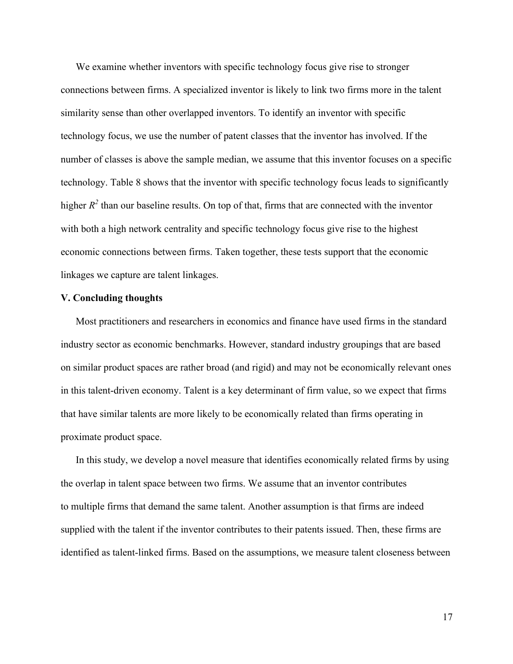We examine whether inventors with specific technology focus give rise to stronger connections between firms. A specialized inventor is likely to link two firms more in the talent similarity sense than other overlapped inventors. To identify an inventor with specific technology focus, we use the number of patent classes that the inventor has involved. If the number of classes is above the sample median, we assume that this inventor focuses on a specific technology. Table 8 shows that the inventor with specific technology focus leads to significantly higher  $R^2$  than our baseline results. On top of that, firms that are connected with the inventor with both a high network centrality and specific technology focus give rise to the highest economic connections between firms. Taken together, these tests support that the economic linkages we capture are talent linkages.

#### **V. Concluding thoughts**

Most practitioners and researchers in economics and finance have used firms in the standard industry sector as economic benchmarks. However, standard industry groupings that are based on similar product spaces are rather broad (and rigid) and may not be economically relevant ones in this talent-driven economy. Talent is a key determinant of firm value, so we expect that firms that have similar talents are more likely to be economically related than firms operating in proximate product space.

In this study, we develop a novel measure that identifies economically related firms by using the overlap in talent space between two firms. We assume that an inventor contributes to multiple firms that demand the same talent. Another assumption is that firms are indeed supplied with the talent if the inventor contributes to their patents issued. Then, these firms are identified as talent-linked firms. Based on the assumptions, we measure talent closeness between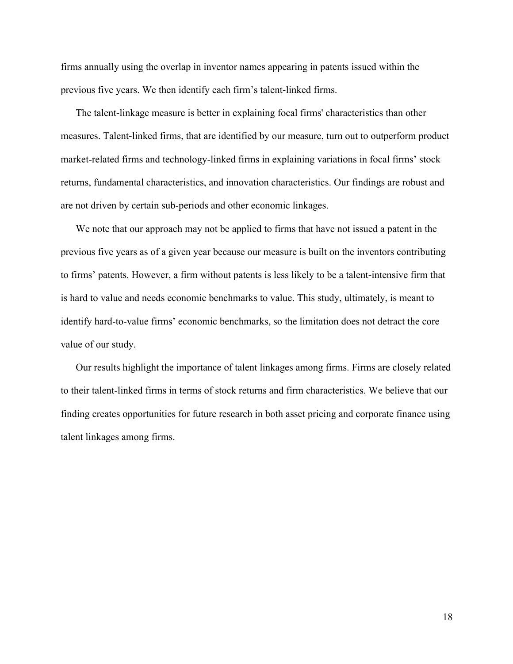firms annually using the overlap in inventor names appearing in patents issued within the previous five years. We then identify each firm's talent-linked firms.

The talent-linkage measure is better in explaining focal firms' characteristics than other measures. Talent-linked firms, that are identified by our measure, turn out to outperform product market-related firms and technology-linked firms in explaining variations in focal firms' stock returns, fundamental characteristics, and innovation characteristics. Our findings are robust and are not driven by certain sub-periods and other economic linkages.

We note that our approach may not be applied to firms that have not issued a patent in the previous five years as of a given year because our measure is built on the inventors contributing to firms' patents. However, a firm without patents is less likely to be a talent-intensive firm that is hard to value and needs economic benchmarks to value. This study, ultimately, is meant to identify hard-to-value firms' economic benchmarks, so the limitation does not detract the core value of our study.

Our results highlight the importance of talent linkages among firms. Firms are closely related to their talent-linked firms in terms of stock returns and firm characteristics. We believe that our finding creates opportunities for future research in both asset pricing and corporate finance using talent linkages among firms.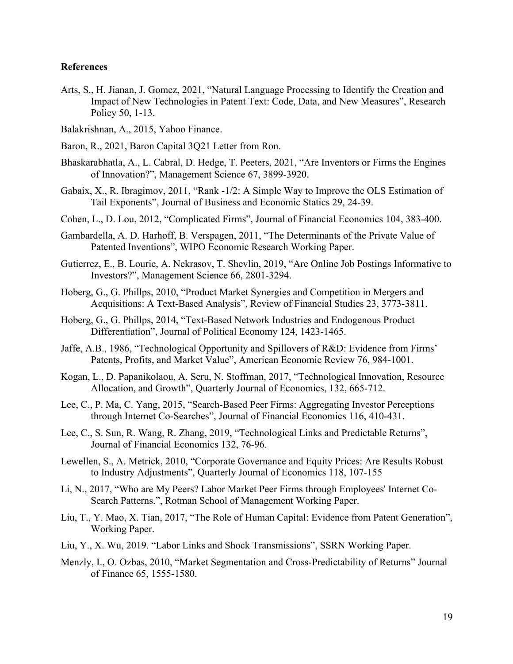### **References**

Arts, S., H. Jianan, J. Gomez, 2021, "Natural Language Processing to Identify the Creation and Impact of New Technologies in Patent Text: Code, Data, and New Measures", Research Policy 50, 1-13.

Balakrishnan, A., 2015, Yahoo Finance.

- Baron, R., 2021, Baron Capital 3Q21 Letter from Ron.
- Bhaskarabhatla, A., L. Cabral, D. Hedge, T. Peeters, 2021, "Are Inventors or Firms the Engines of Innovation?", Management Science 67, 3899-3920.
- Gabaix, X., R. Ibragimov, 2011, "Rank -1/2: A Simple Way to Improve the OLS Estimation of Tail Exponents", Journal of Business and Economic Statics 29, 24-39.
- Cohen, L., D. Lou, 2012, "Complicated Firms", Journal of Financial Economics 104, 383-400.
- Gambardella, A. D. Harhoff, B. Verspagen, 2011, "The Determinants of the Private Value of Patented Inventions", WIPO Economic Research Working Paper.
- Gutierrez, E., B. Lourie, A. Nekrasov, T. Shevlin, 2019, "Are Online Job Postings Informative to Investors?", Management Science 66, 2801-3294.
- Hoberg, G., G. Phillps, 2010, "Product Market Synergies and Competition in Mergers and Acquisitions: A Text-Based Analysis", Review of Financial Studies 23, 3773-3811.
- Hoberg, G., G. Phillps, 2014, "Text-Based Network Industries and Endogenous Product Differentiation", Journal of Political Economy 124, 1423-1465.
- Jaffe, A.B., 1986, "Technological Opportunity and Spillovers of R&D: Evidence from Firms' Patents, Profits, and Market Value", American Economic Review 76, 984-1001.
- Kogan, L., D. Papanikolaou, A. Seru, N. Stoffman, 2017, "Technological Innovation, Resource Allocation, and Growth", Quarterly Journal of Economics, 132, 665-712.
- Lee, C., P. Ma, C. Yang, 2015, "Search-Based Peer Firms: Aggregating Investor Perceptions through Internet Co-Searches", Journal of Financial Economics 116, 410-431.
- Lee, C., S. Sun, R. Wang, R. Zhang, 2019, "Technological Links and Predictable Returns", Journal of Financial Economics 132, 76-96.
- Lewellen, S., A. Metrick, 2010, "Corporate Governance and Equity Prices: Are Results Robust to Industry Adjustments", Quarterly Journal of Economics 118, 107-155
- Li, N., 2017, "Who are My Peers? Labor Market Peer Firms through Employees' Internet Co-Search Patterns.", Rotman School of Management Working Paper.
- Liu, T., Y. Mao, X. Tian, 2017, "The Role of Human Capital: Evidence from Patent Generation", Working Paper.
- Liu, Y., X. Wu, 2019. "Labor Links and Shock Transmissions", SSRN Working Paper.
- Menzly, I., O. Ozbas, 2010, "Market Segmentation and Cross-Predictability of Returns" Journal of Finance 65, 1555-1580.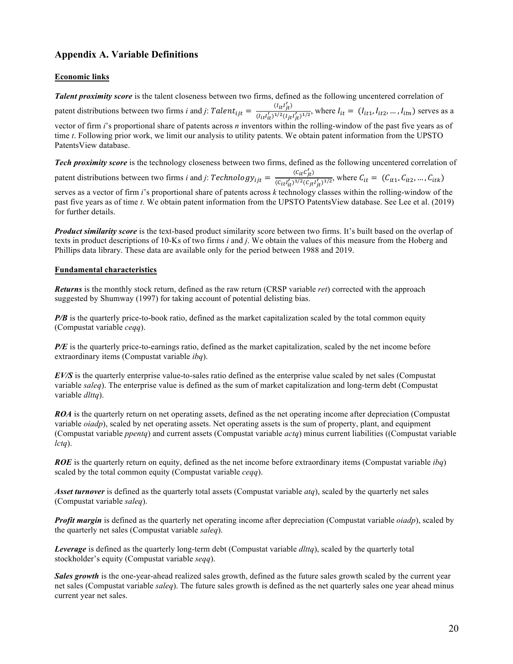## **Appendix A. Variable Definitions**

#### **Economic links**

*Talent proximity score* is the talent closeness between two firms, defined as the following uncentered correlation of patent distributions between two firms *i* and *j*:  $Talent_{ijt} = \frac{(I_{it}I'_{jt})}{(I_{it}I_1)(2I_{it})}$  $\frac{(a_{it})_{t}}{(I_{it}t'_{it})^{1/2}(I_{jt}t'_{jt})^{1/2}}$ , where  $I_{it} = (I_{it1}, I_{it2}, ..., I_{itn})$  serves as a vector of firm *i*'s proportional share of patents across *n* inventors within the rolling-window of the past five years as of time *t*. Following prior work, we limit our analysis to utility patents. We obtain patent information from the UPSTO PatentsView database.

*Tech proximity score* is the technology closeness between two firms, defined as the following uncentered correlation of

patent distributions between two firms *i* and *j*:  $Technology_{ijt} = \frac{(C_{it}C'_{jt})}{(C_{it}I)\frac{1}{2}(C_{it})}$ (d786 78 : )</>(d986 98 : )</>, where t13 <sup>=</sup> (t13@, t13B, … , t13u) serves as a vector of firm *i*'s proportional share of patents across *k* technology classes within the rolling-window of the past five years as of time *t*. We obtain patent information from the UPSTO PatentsView database. See Lee et al. (2019) for further details.

*Product similarity score* is the text-based product similarity score between two firms. It's built based on the overlap of texts in product descriptions of 10-Ks of two firms *i* and *j*. We obtain the values of this measure from the Hoberg and Phillips data library. These data are available only for the period between 1988 and 2019.

#### **Fundamental characteristics**

*Returns* is the monthly stock return, defined as the raw return (CRSP variable *ret*) corrected with the approach suggested by Shumway (1997) for taking account of potential delisting bias.

*P/B* is the quarterly price-to-book ratio, defined as the market capitalization scaled by the total common equity (Compustat variable *ceqq*).

*P/E* is the quarterly price-to-earnings ratio, defined as the market capitalization, scaled by the net income before extraordinary items (Compustat variable *ibq*).

*EV/S* is the quarterly enterprise value-to-sales ratio defined as the enterprise value scaled by net sales (Compustat variable *saleq*). The enterprise value is defined as the sum of market capitalization and long-term debt (Compustat variable *dlttq*).

*ROA* is the quarterly return on net operating assets, defined as the net operating income after depreciation (Compustat variable *oiadp*), scaled by net operating assets. Net operating assets is the sum of property, plant, and equipment (Compustat variable *ppentq*) and current assets (Compustat variable *actq*) minus current liabilities ((Compustat variable *lctq*).

*ROE* is the quarterly return on equity, defined as the net income before extraordinary items (Compustat variable *ibq*) scaled by the total common equity (Compustat variable *ceqq*).

*Asset turnover* is defined as the quarterly total assets (Compustat variable *atq*), scaled by the quarterly net sales (Compustat variable *saleq*).

*Profit margin* is defined as the quarterly net operating income after depreciation (Compustat variable *oiadp*), scaled by the quarterly net sales (Compustat variable *saleq*).

*Leverage* is defined as the quarterly long-term debt (Compustat variable *dlttq*), scaled by the quarterly total stockholder's equity (Compustat variable *seqq*).

*Sales growth* is the one-year-ahead realized sales growth, defined as the future sales growth scaled by the current year net sales (Compustat variable *saleq*). The future sales growth is defined as the net quarterly sales one year ahead minus current year net sales.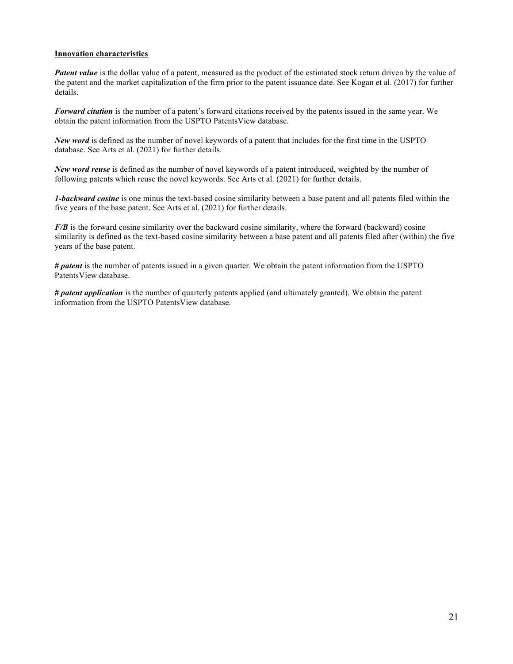#### **Innovation characteristics**

*Patent value* is the dollar value of a patent, measured as the product of the estimated stock return driven by the value of the patent and the market capitalization of the firm prior to the patent issuance date. See Kogan et al. (2017) for further details.

*Forward citation* is the number of a patent's forward citations received by the patents issued in the same year. We obtain the patent information from the USPTO PatentsView database.

*New word* is defined as the number of novel keywords of a patent that includes for the first time in the USPTO database. See Arts et al. (2021) for further details.

*New word reuse* is defined as the number of novel keywords of a patent introduced, weighted by the number of following patents which reuse the novel keywords. See Arts et al. (2021) for further details.

*1-backward cosine* is one minus the text-based cosine similarity between a base patent and all patents filed within the five years of the base patent. See Arts et al. (2021) for further details.

*F/B* is the forward cosine similarity over the backward cosine similarity, where the forward (backward) cosine similarity is defined as the text-based cosine similarity between a base patent and all patents filed after (within) the five years of the base patent.

*# patent* is the number of patents issued in a given quarter. We obtain the patent information from the USPTO PatentsView database.

*# patent application* is the number of quarterly patents applied (and ultimately granted). We obtain the patent information from the USPTO PatentsView database.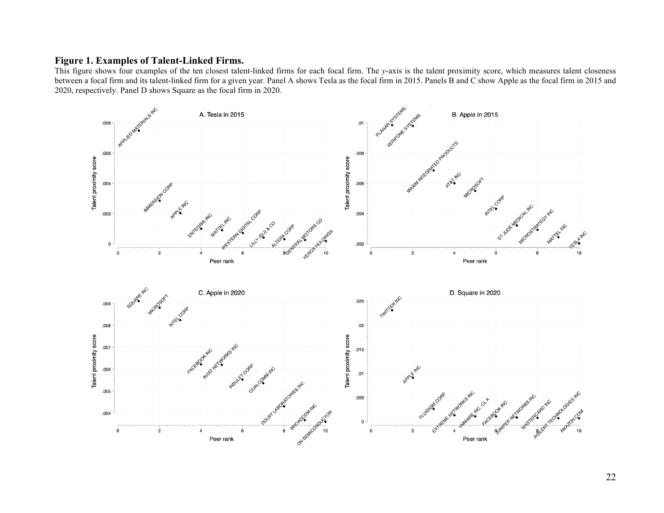#### **Figure 1. Examples of Talent-Linked Firms.**

This figure shows four examples of the ten closest talent-linked firms for each focal firm. The *y*-axis is the talent proximity score, which measures talent closeness between a focal firm and its talent-linked firm for a given year. Panel A shows Tesla as the focal firm in 2015. Panels B and C show Apple as the focal firm in 2015 and 2020, respectively. Panel D shows Square as the focal firm in 2020.

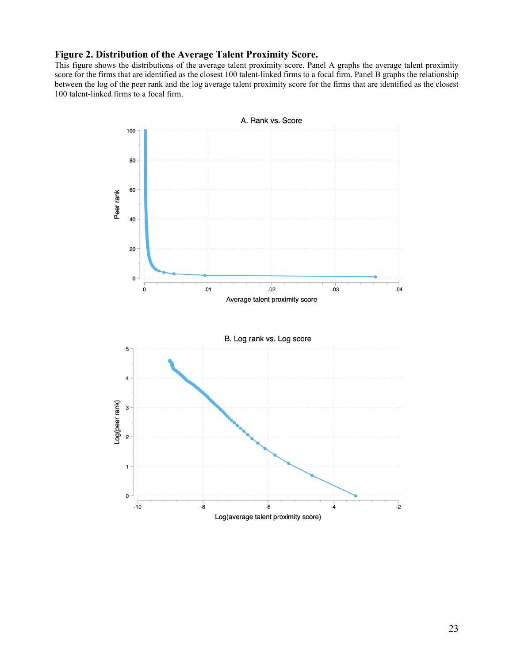## **Figure 2. Distribution of the Average Talent Proximity Score.**

This figure shows the distributions of the average talent proximity score. Panel A graphs the average talent proximity score for the firms that are identified as the closest 100 talent-linked firms to a focal firm. Panel B graphs the relationship between the log of the peer rank and the log average talent proximity score for the firms that are identified as the closest 100 talent-linked firms to a focal firm.

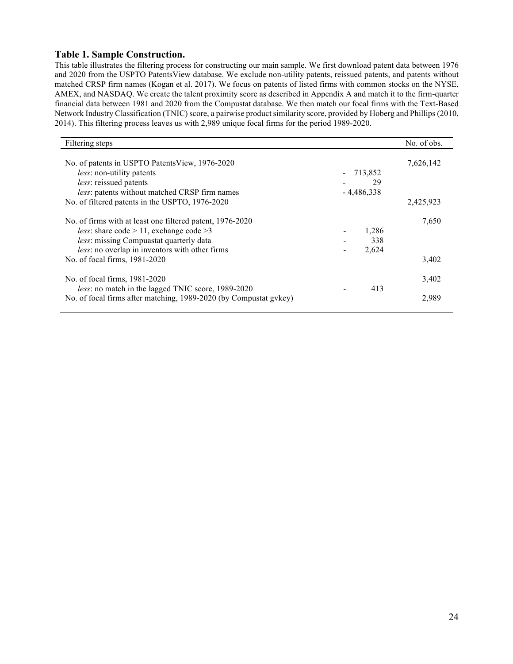#### **Table 1. Sample Construction.**

This table illustrates the filtering process for constructing our main sample. We first download patent data between 1976 and 2020 from the USPTO PatentsView database. We exclude non-utility patents, reissued patents, and patents without matched CRSP firm names (Kogan et al. 2017). We focus on patents of listed firms with common stocks on the NYSE, AMEX, and NASDAQ. We create the talent proximity score as described in Appendix A and match it to the firm-quarter financial data between 1981 and 2020 from the Compustat database. We then match our focal firms with the Text-Based Network Industry Classification (TNIC) score, a pairwise product similarity score, provided by Hoberg and Phillips (2010, 2014). This filtering process leaves us with 2,989 unique focal firms for the period 1989-2020.

| Filtering steps                                                                                                                                                                                                              |                       | No. of obs. |
|------------------------------------------------------------------------------------------------------------------------------------------------------------------------------------------------------------------------------|-----------------------|-------------|
| No. of patents in USPTO Patents View, 1976-2020<br>less: non-utility patents                                                                                                                                                 | 713,852               | 7,626,142   |
| less: reissued patents<br>less: patents without matched CRSP firm names                                                                                                                                                      | 29<br>$-4,486,338$    |             |
| No. of filtered patents in the USPTO, 1976-2020                                                                                                                                                                              |                       | 2,425,923   |
| No. of firms with at least one filtered patent, 1976-2020<br><i>less:</i> share $\text{code} > 11$ , exchange $\text{code} > 3$<br>less: missing Compuastat quarterly data<br>less: no overlap in inventors with other firms | 1,286<br>338<br>2,624 | 7,650       |
| No. of focal firms, 1981-2020                                                                                                                                                                                                |                       | 3,402       |
| No. of focal firms, 1981-2020<br>less: no match in the lagged TNIC score, 1989-2020                                                                                                                                          | 413                   | 3,402       |
| No. of focal firms after matching, 1989-2020 (by Compustat gykey)                                                                                                                                                            |                       | 2,989       |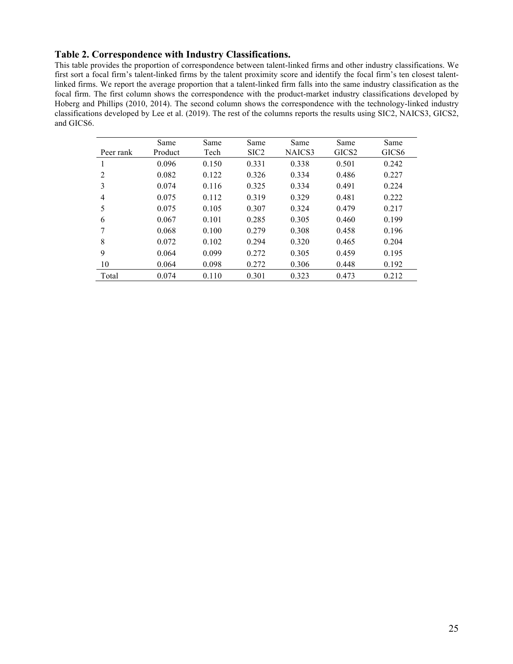## **Table 2. Correspondence with Industry Classifications.**

This table provides the proportion of correspondence between talent-linked firms and other industry classifications. We first sort a focal firm's talent-linked firms by the talent proximity score and identify the focal firm's ten closest talentlinked firms. We report the average proportion that a talent-linked firm falls into the same industry classification as the focal firm. The first column shows the correspondence with the product-market industry classifications developed by Hoberg and Phillips (2010, 2014). The second column shows the correspondence with the technology-linked industry classifications developed by Lee et al. (2019). The rest of the columns reports the results using SIC2, NAICS3, GICS2, and GICS6.

| Peer rank      | Same<br>Product | Same<br>Tech | Same<br>SIC <sub>2</sub> | Same<br>NAICS3 | Same<br>GICS <sub>2</sub> | Same<br>GICS <sub>6</sub> |
|----------------|-----------------|--------------|--------------------------|----------------|---------------------------|---------------------------|
|                | 0.096           | 0.150        | 0.331                    | 0.338          | 0.501                     | 0.242                     |
| $\mathfrak{D}$ | 0.082           | 0.122        | 0.326                    | 0.334          | 0.486                     | 0.227                     |
| 3              | 0.074           | 0.116        | 0.325                    | 0.334          | 0.491                     | 0.224                     |
| $\overline{4}$ | 0.075           | 0.112        | 0.319                    | 0.329          | 0.481                     | 0.222                     |
| 5              | 0.075           | 0.105        | 0.307                    | 0.324          | 0.479                     | 0.217                     |
| 6              | 0.067           | 0.101        | 0.285                    | 0.305          | 0.460                     | 0.199                     |
| 7              | 0.068           | 0.100        | 0.279                    | 0.308          | 0.458                     | 0.196                     |
| 8              | 0.072           | 0.102        | 0.294                    | 0.320          | 0.465                     | 0.204                     |
| 9              | 0.064           | 0.099        | 0.272                    | 0.305          | 0.459                     | 0.195                     |
| 10             | 0.064           | 0.098        | 0.272                    | 0.306          | 0.448                     | 0.192                     |
| Total          | 0.074           | 0.110        | 0.301                    | 0.323          | 0.473                     | 0.212                     |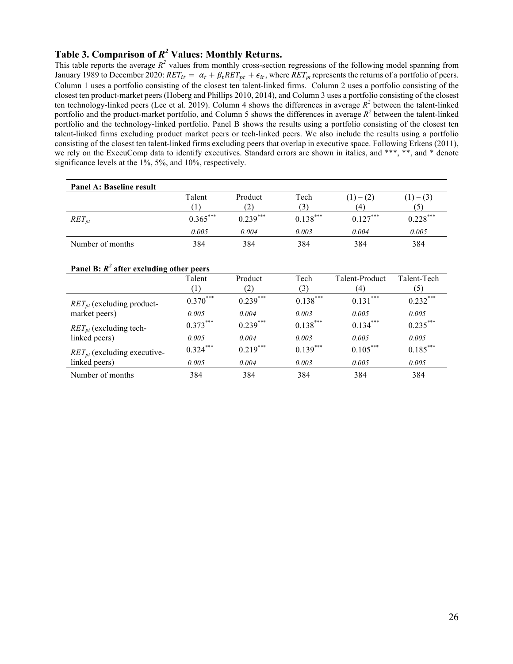## **Table 3. Comparison of** *R2* **Values: Monthly Returns.**

This table reports the average  $R^2$  values from monthly cross-section regressions of the following model spanning from January 1989 to December 2020:  $RET_{it} = \alpha_t + \beta_t RET_{pt} + \epsilon_{it}$ , where  $RET_{pt}$  represents the returns of a portfolio of peers. Column 1 uses a portfolio consisting of the closest ten talent-linked firms. Column 2 uses a portfolio consisting of the closest ten product-market peers (Hoberg and Phillips 2010, 2014), and Column 3 uses a portfolio consisting of the closest ten technology-linked peers (Lee et al. 2019). Column 4 shows the differences in average  $R^2$  between the talent-linked portfolio and the product-market portfolio, and Column 5 shows the differences in average *R<sup>2</sup>* between the talent-linked portfolio and the technology-linked portfolio. Panel B shows the results using a portfolio consisting of the closest ten talent-linked firms excluding product market peers or tech-linked peers. We also include the results using a portfolio consisting of the closest ten talent-linked firms excluding peers that overlap in executive space. Following Erkens (2011), we rely on the ExecuComp data to identify executives. Standard errors are shown in italics, and \*\*\*, \*\*, and \* denote significance levels at the 1%, 5%, and 10%, respectively.

| Panel A: Baseline result                   |               |                |             |                  |                    |
|--------------------------------------------|---------------|----------------|-------------|------------------|--------------------|
|                                            | Talent<br>(1) | Product<br>(2) | Tech<br>(3) | $(1)-(2)$<br>(4) | $(1) - (3)$<br>(5) |
| $RET_{pt}$                                 | $0.365***$    | $0.239***$     | $0.138***$  | $0.127***$       | $0.228***$         |
|                                            | 0.005         | 0.004          | 0.003       | 0.004            | 0.005              |
| Number of months                           | 384           | 384            | 384         | 384              | 384                |
| Panel B: $R^2$ after excluding other peers |               |                |             |                  |                    |
|                                            | Talent        | Product        | Tech        | Talent-Product   | Talent-Tech        |
|                                            | (1)           | (2)            | (3)         | (4)              | (5)                |
| $RET_{pt}$ (excluding product-             | $0.370***$    | $0.239***$     | $0.138***$  | $0.131***$       | $0.232***$         |
| market peers)                              | 0.005         | 0.004          | 0.003       | 0.005            | 0.005              |
| $RET_{pt}$ (excluding tech-                | $0.373***$    | $0.239***$     | $0.138***$  | $0.134***$       | $0.235***$         |
| linked peers)                              | 0.005         | 0.004          | 0.003       | 0.005            | 0.005              |
| $RET_{pt}$ (excluding executive-           | $0.324***$    | $0.219***$     | $0.139***$  | $0.105***$       | $0.185***$         |
| linked peers)                              | 0.005         | 0.004          | 0.003       | 0.005            | 0.005              |

Number of months 384 384 384 384 384 384 384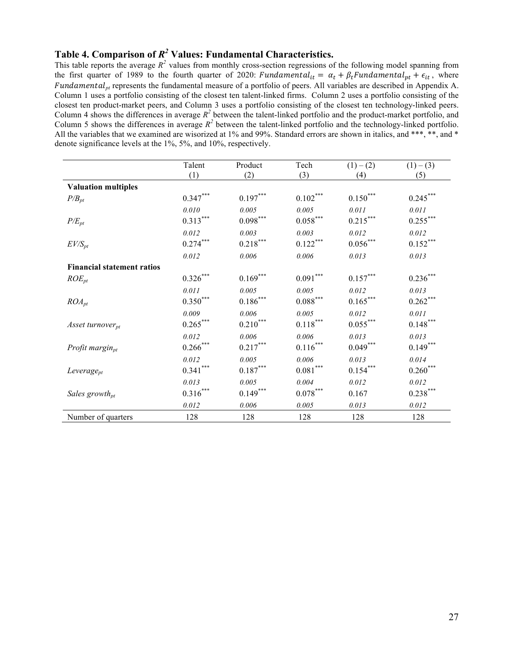## **Table 4. Comparison of** *R2* **Values: Fundamental Characteristics.**

This table reports the average  $R^2$  values from monthly cross-section regressions of the following model spanning from the first quarter of 1989 to the fourth quarter of 2020: Fundamental<sub>it</sub> =  $\alpha_t + \beta_t$ Fundamental<sub>pt</sub> +  $\epsilon_{it}$ , where  $Fundamental<sub>pt</sub>$  represents the fundamental measure of a portfolio of peers. All variables are described in Appendix A. Column 1 uses a portfolio consisting of the closest ten talent-linked firms. Column 2 uses a portfolio consisting of the closest ten product-market peers, and Column 3 uses a portfolio consisting of the closest ten technology-linked peers. Column 4 shows the differences in average  $R^2$  between the talent-linked portfolio and the product-market portfolio, and Column 5 shows the differences in average *R<sup>2</sup>* between the talent-linked portfolio and the technology-linked portfolio. All the variables that we examined are wisorized at 1% and 99%. Standard errors are shown in italics, and \*\*\*, \*\*, and \* denote significance levels at the 1%, 5%, and 10%, respectively.

|                                   | Talent                 | Product                | Tech                   | $(1) - (2)$              | $(1) - (3)$          |
|-----------------------------------|------------------------|------------------------|------------------------|--------------------------|----------------------|
|                                   | (1)                    | (2)                    | (3)                    | (4)                      | (5)                  |
| <b>Valuation multiples</b>        |                        |                        |                        |                          |                      |
| $P/B_{pt}$                        | $0.347***$             | $0.197***$             | $0.102\sp{***}$        | $0.150^\mathrm{***}$     | $0.245***$           |
|                                   | 0.010                  | 0.005                  | 0.005                  | 0.011                    | 0.011                |
| $P/E_{pt}$                        | $0.313***$             | $0.098***$             | $0.058^{\ast\ast\ast}$ | $0.215***$               | $0.255***$           |
|                                   | 0.012                  | 0.003                  | 0.003                  | 0.012                    | 0.012                |
| $EV/S_{pt}$                       | $0.274***$             | $0.218^{\ast\ast\ast}$ | $0.122***$             | $0.056\sp{*}^{***}$      | $0.152\sp{***}$      |
|                                   | 0.012                  | $0.006\,$              | 0.006                  | 0.013                    | 0.013                |
| <b>Financial statement ratios</b> |                        |                        |                        |                          |                      |
| $ROE_{pt}$                        | $0.326\sp{*}^{***}$    | $0.169^{***}$          | $0.091^{\ast\ast\ast}$ | $0.157^{\ast\ast\ast}$   | $0.236\sp{***}$      |
|                                   | 0.011                  | 0.005                  | 0.005                  | 0.012                    | 0.013                |
| $ROA_{pt}$                        | $0.350***$             | $0.186^{\ast\ast\ast}$ | $0.088^{\ast\ast\ast}$ | $0.165***$               | $0.262^{***}$        |
|                                   | 0.009                  | 0.006                  | 0.005                  | 0.012                    | 0.011                |
| Asset turnover <sub>pt</sub>      | $0.265***$             | $0.210^{\ast\ast\ast}$ | $0.118^{\ast\ast\ast}$ | $0.055^{***}$            | $0.148^{***}$        |
|                                   | 0.012                  | 0.006                  | 0.006                  | 0.013                    | 0.013                |
| Profit margin $_{pt}$             | $0.266\sp{*}^{**}$     | $0.217^{***}$          | $0.116^{\ast\ast\ast}$ | ${0.049}^{\ast\ast\ast}$ | $0.149***$           |
|                                   | 0.012                  | 0.005                  | 0.006                  | 0.013                    | 0.014                |
| $Leverage_{pt}$                   | $0.341***$             | $0.187^{\ast\ast\ast}$ | $0.081^{\ast\ast\ast}$ | $0.154^{***}$            | $0.260^\mathrm{***}$ |
|                                   | 0.013                  | 0.005                  | 0.004                  | 0.012                    | 0.012                |
| Sales growth <sub>pt</sub>        | $0.316^{\ast\ast\ast}$ | $0.149***$             | $0.078^{\ast\ast\ast}$ | 0.167                    | $0.238***$           |
|                                   | 0.012                  | 0.006                  | 0.005                  | 0.013                    | 0.012                |
| Number of quarters                | 128                    | 128                    | 128                    | 128                      | 128                  |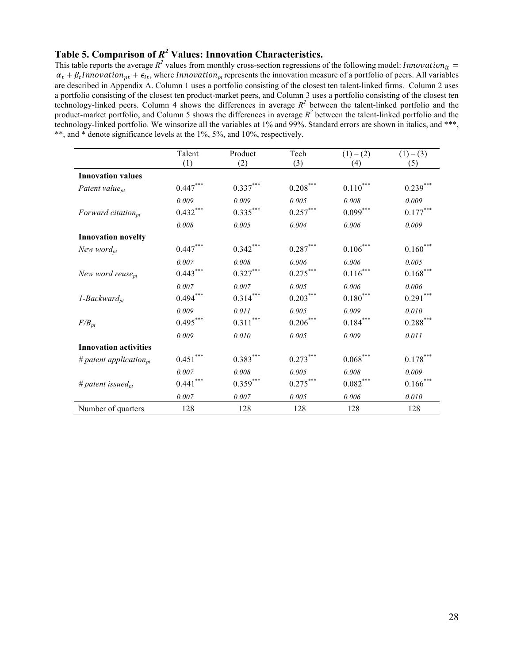## **Table 5. Comparison of** *R2* **Values: Innovation Characteristics.**

This table reports the average  $R^2$  values from monthly cross-section regressions of the following model: *Innovation*<sub>it</sub> =  $\alpha_t + \beta_t$ *Innovation<sub>pt</sub>* +  $\epsilon_{it}$ , where *Innovation<sub>pt</sub>* represents the innovation measure of a portfolio of peers. All variables are described in Appendix A. Column 1 uses a portfolio consisting of the closest ten talent-linked firms. Column 2 uses a portfolio consisting of the closest ten product-market peers, and Column 3 uses a portfolio consisting of the closest ten technology-linked peers. Column 4 shows the differences in average  $R^2$  between the talent-linked portfolio and the product-market portfolio, and Column 5 shows the differences in average  $R^2$  between the talent-linked portfolio and the technology-linked portfolio. We winsorize all the variables at 1% and 99%. Standard errors are shown in italics, and \*\*\*, \*\*, and \* denote significance levels at the 1%, 5%, and 10%, respectively.

|                               | Talent                 | Product                | Tech                   | $(1) - (2)$            | $(1) - (3)$              |
|-------------------------------|------------------------|------------------------|------------------------|------------------------|--------------------------|
|                               | (1)                    | (2)                    | (3)                    | (4)                    | (5)                      |
| <b>Innovation values</b>      |                        |                        |                        |                        |                          |
| Patent value $_{pt}$          | $0.447\sp{*}^{**}$     | $0.337^{\ast\ast\ast}$ | $0.208^{\ast\ast\ast}$ | $0.110^{\ast\ast\ast}$ | $0.239***$               |
|                               | 0.009                  | 0.009                  | 0.005                  | $0.008\,$              | 0.009                    |
| Forward citation $p_t$        | $0.432***$             | $0.335^{***}$          | $0.257***$             | $0.099***$             | $0.177***$               |
|                               | 0.008                  | 0.005                  | 0.004                  | 0.006                  | 0.009                    |
| <b>Innovation novelty</b>     |                        |                        |                        |                        |                          |
| New word $_{pt}$              | $0.447^{\ast\ast\ast}$ | $0.342***$             | $0.287***$             | $0.106***$             | $0.160^\mathrm{***}$     |
|                               | 0.007                  | 0.008                  | 0.006                  | 0.006                  | 0.005                    |
| New word reuse <sub>pt</sub>  | $0.443***$             | $0.327^{***}$          | $0.275***$             | $0.116^{\ast\ast\ast}$ | $0.168^{\ast\ast\ast}$   |
|                               | $0.007\,$              | $0.007\,$              | 0.005                  | 0.006                  | 0.006                    |
| $1$ -Backward <sub>pt</sub>   | $0.494***$             | $0.314^{***}$          | $0.203***$             | $0.180^{\ast\ast\ast}$ | $0.291***$               |
|                               | 0.009                  | 0.011                  | 0.005                  | 0.009                  | 0.010                    |
| $F/B_{pt}$                    | $0.495***$             | $0.311^{\ast\ast\ast}$ | $0.206\sp{***}$        | $0.184\sp{***}$        | ${0.288}^{\ast\ast\ast}$ |
|                               | 0.009                  | 0.010                  | 0.005                  | 0.009                  | 0.011                    |
| <b>Innovation activities</b>  |                        |                        |                        |                        |                          |
| # patent application $_{pt}$  | $0.451^{\ast\ast\ast}$ | $0.383^{***}$          | $0.273***$             | $0.068^{\ast\ast\ast}$ | $0.178^{\ast\ast\ast}$   |
|                               | $0.007\,$              | $0.008\,$              | 0.005                  | $0.008\,$              | 0.009                    |
| # patent issued <sub>pt</sub> | $0.441^{\ast\ast\ast}$ | $0.359^{***}$          | $0.275***$             | $0.082\sp{***}$        | $0.166\sp{*}^{**}$       |
|                               | 0.007                  | 0.007                  | 0.005                  | 0.006                  | 0.010                    |
| Number of quarters            | 128                    | 128                    | 128                    | 128                    | 128                      |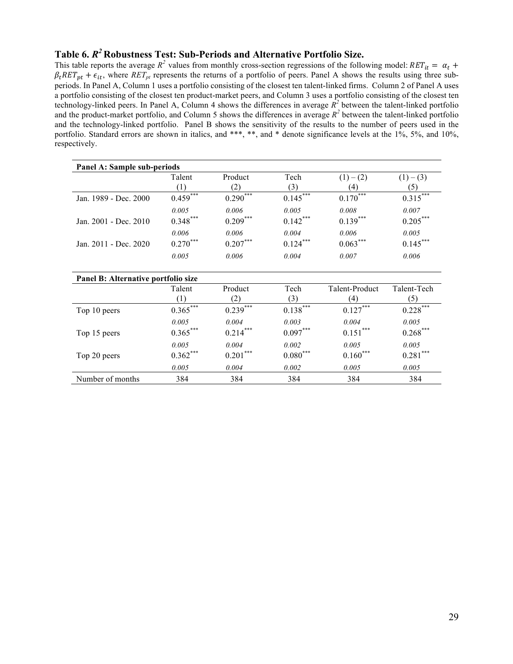### **Table 6.** *R2* **Robustness Test: Sub-Periods and Alternative Portfolio Size.**

This table reports the average  $R^2$  values from monthly cross-section regressions of the following model:  $RET_{it} = \alpha_t +$  $\beta_t RET_{pt} + \epsilon_{it}$ , where  $RET_{pt}$  represents the returns of a portfolio of peers. Panel A shows the results using three subperiods. In Panel A, Column 1 uses a portfolio consisting of the closest ten talent-linked firms. Column 2 of Panel A uses a portfolio consisting of the closest ten product-market peers, and Column 3 uses a portfolio consisting of the closest ten technology-linked peers. In Panel A, Column 4 shows the differences in average  $\mathbb{R}^2$  between the talent-linked portfolio and the product-market portfolio, and Column 5 shows the differences in average  $R^2$  between the talent-linked portfolio and the technology-linked portfolio. Panel B shows the sensitivity of the results to the number of peers used in the portfolio. Standard errors are shown in italics, and \*\*\*, \*\*, and \* denote significance levels at the 1%, 5%, and 10%, respectively.

| Panel A: Sample sub-periods         |                            |                          |                               |                        |                                 |  |  |
|-------------------------------------|----------------------------|--------------------------|-------------------------------|------------------------|---------------------------------|--|--|
|                                     | Talent<br>$\left(1\right)$ | Product<br>(2)           | Tech<br>(3)                   | $(1) - (2)$<br>(4)     | $(1) - (3)$<br>(5)              |  |  |
| Jan. 1989 - Dec. 2000               | $0.459$ ***                | $0.290***$               | $0.145***$                    | $0.170$ <sup>***</sup> | $0.315$ ***                     |  |  |
| Jan. 2001 - Dec. 2010               | 0.005<br>$0.348***$        | 0.006<br>$0.209***$      | 0.005<br>$0.142***$           | 0.008<br>$0.139***$    | 0.007<br>$0.205***$             |  |  |
| Jan. 2011 - Dec. 2020               | 0.006<br>$0.270***$        | 0.006<br>$0.207***$      | 0.004<br>$0.124***$           | 0.006<br>$0.063***$    | 0.005<br>$0.145***$             |  |  |
|                                     | 0.005                      | 0.006                    | 0.004                         | 0.007                  | 0.006                           |  |  |
| Panel B: Alternative portfolio size |                            |                          |                               |                        |                                 |  |  |
|                                     | Talent<br>$\left(1\right)$ | Product<br>(2)           | Tech<br>(3)                   | Talent-Product<br>(4)  | Talent-Tech<br>(5)              |  |  |
| Top 10 peers                        | $0.365***$                 | $0.239***$               | $0.138***$                    | $0.127***$             | $0.228***$                      |  |  |
| Top 15 peers                        | 0.005<br>$0.365***$        | 0.004<br>$0.214***$      | 0.003<br>$0.097***$           | 0.004<br>$0.151***$    | 0.005<br>$0.268***$             |  |  |
| Top 20 peers                        | 0.005<br>$0.362***$        | 0.004<br>$0.201\sp{***}$ | 0.002<br>$0.080^\mathrm{***}$ | 0.005<br>$0.160***$    | 0.005<br>$0.281^{\ast\ast\ast}$ |  |  |
|                                     | 0.005                      | 0.004                    | 0.002                         | 0.005                  | 0.005                           |  |  |
| Number of months                    | 384                        | 384                      | 384                           | 384                    | 384                             |  |  |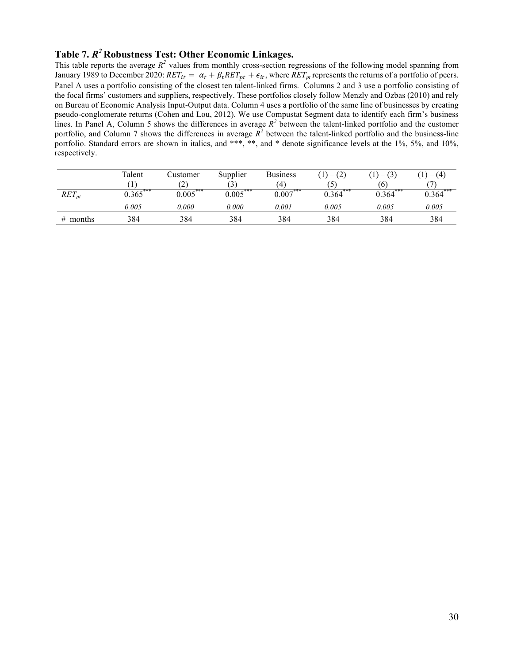## **Table 7.** *R2* **Robustness Test: Other Economic Linkages.**

This table reports the average  $R^2$  values from monthly cross-section regressions of the following model spanning from January 1989 to December 2020:  $RET_{it} = \alpha_t + \beta_t RET_{pt} + \epsilon_{it}$ , where  $RET_{pt}$  represents the returns of a portfolio of peers. Panel A uses a portfolio consisting of the closest ten talent-linked firms. Columns 2 and 3 use a portfolio consisting of the focal firms' customers and suppliers, respectively. These portfolios closely follow Menzly and Ozbas (2010) and rely on Bureau of Economic Analysis Input-Output data. Column 4 uses a portfolio of the same line of businesses by creating pseudo-conglomerate returns (Cohen and Lou, 2012). We use Compustat Segment data to identify each firm's business lines. In Panel A, Column 5 shows the differences in average  $R^2$  between the talent-linked portfolio and the customer portfolio, and Column 7 shows the differences in average  $\overline{R}^2$  between the talent-linked portfolio and the business-line portfolio. Standard errors are shown in italics, and \*\*\*, \*\*, and \* denote significance levels at the 1%, 5%, and 10%, respectively.

|            | Talent     | Customer   | Supplier   | <b>Business</b> | $(1)-(2)$      | $(1) - (3)$ | $(1) - (4)$ |
|------------|------------|------------|------------|-----------------|----------------|-------------|-------------|
|            |            | (2)        | (3)        | (4)             | $\mathfrak{I}$ | (6)         |             |
| $RET_{pt}$ | $0.365***$ | $0.005***$ | $0.005***$ | $0.007***$      | $0.364***$     | $0.364***$  | $0.364***$  |
|            | 0.005      | 0.000      | 0.000      | 0.001           | 0.005          | 0.005       | 0.005       |
| $#$ months | 384        | 384        | 384        | 384             | 384            | 384         | 384         |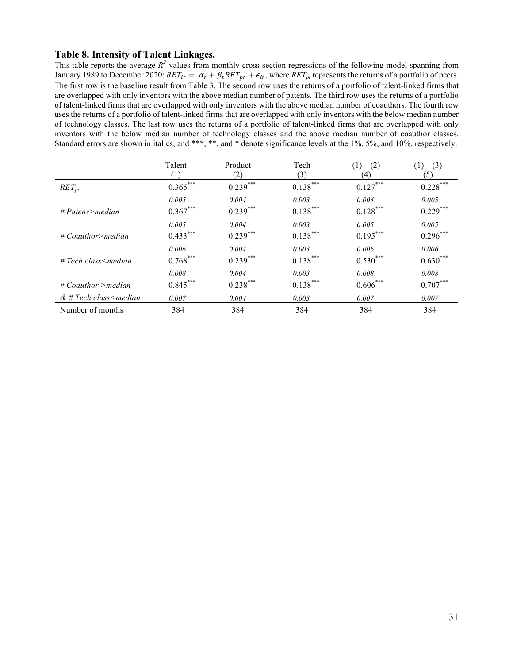#### **Table 8. Intensity of Talent Linkages.**

This table reports the average  $R^2$  values from monthly cross-section regressions of the following model spanning from January 1989 to December 2020:  $RET_{it} = \alpha_t + \beta_t RET_{pt} + \epsilon_{it}$ , where  $RET_{pt}$  represents the returns of a portfolio of peers. The first row is the baseline result from Table 3. The second row uses the returns of a portfolio of talent-linked firms that are overlapped with only inventors with the above median number of patents. The third row uses the returns of a portfolio of talent-linked firms that are overlapped with only inventors with the above median number of coauthors. The fourth row uses the returns of a portfolio of talent-linked firms that are overlapped with only inventors with the below median number of technology classes. The last row uses the returns of a portfolio of talent-linked firms that are overlapped with only inventors with the below median number of technology classes and the above median number of coauthor classes. Standard errors are shown in italics, and \*\*\*, \*\*, and \* denote significance levels at the 1%, 5%, and 10%, respectively.

|                               | Talent           | Product    | Tech       | $(1)-(2)$  | $(1) - (3)$ |
|-------------------------------|------------------|------------|------------|------------|-------------|
|                               | $\left(1\right)$ | (2)        | (3)        | (4)        | (5)         |
| $RET_{pt}$                    | $0.365***$       | $0.239***$ | $0.138***$ | $0.127***$ | $0.228***$  |
|                               | 0.005            | 0.004      | 0.003      | 0.004      | 0.005       |
| $# Patens$ >median            | $0.367***$       | $0.239***$ | $0.138***$ | $0.128***$ | $0.229***$  |
|                               | 0.005            | 0.004      | 0.003      | 0.005      | 0.005       |
| $\#$ Coauthor>median          | $0.433***$       | $0.239***$ | $0.138***$ | $0.195***$ | $0.296***$  |
|                               | 0.006            | 0.004      | 0.003      | 0.006      | 0.006       |
| $\# Tech \; class \le median$ | $0.768***$       | $0.239***$ | $0.138***$ | $0.530***$ | $0.630***$  |
|                               | 0.008            | 0.004      | 0.003      | 0.008      | 0.008       |
| $\#$ Coauthor >median         | $0.845***$       | $0.238***$ | $0.138***$ | $0.606***$ | $0.707***$  |
| $&$ # Tech class < median     | 0.007            | 0.004      | 0.003      | 0.007      | 0.007       |
| Number of months              | 384              | 384        | 384        | 384        | 384         |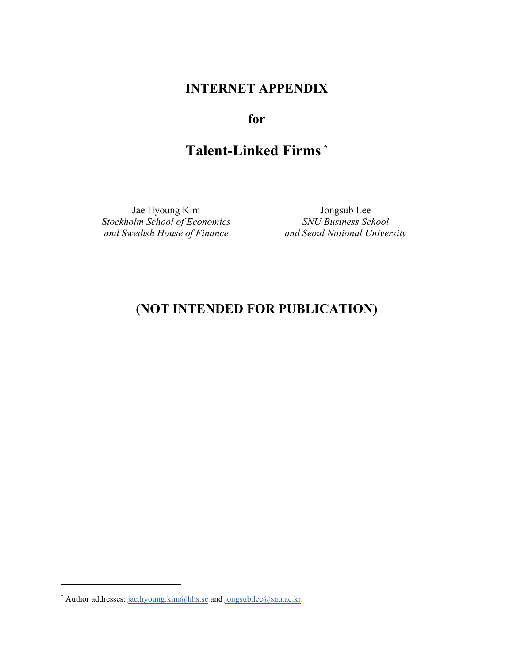## **INTERNET APPENDIX**

## **for**

# **Talent-Linked Firms \***

Jae Hyoung Kim Jongsub Lee *Stockholm School of Economics* SNU Business School and Swedish House of Finance and Seoul National Universed

*and Seoul National University* 

## **(NOT INTENDED FOR PUBLICATION)**

 $\overline{a}$ 

<sup>\*</sup> Author addresses: jae.hyoung.kim@hhs.se and jongsub.lee@snu.ac.kr.